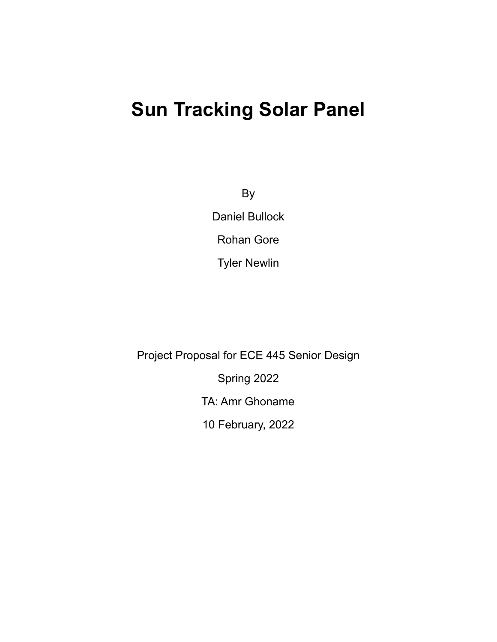# **Sun Tracking Solar Panel**

By Daniel Bullock Rohan Gore Tyler Newlin

Project Proposal for ECE 445 Senior Design Spring 2022 TA: Amr Ghoname 10 February, 2022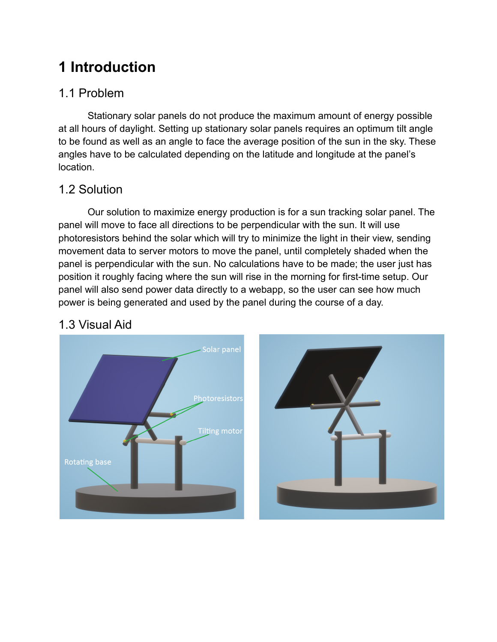# **1 Introduction**

### 1.1 Problem

Stationary solar panels do not produce the maximum amount of energy possible at all hours of daylight. Setting up stationary solar panels requires an optimum tilt angle to be found as well as an angle to face the average position of the sun in the sky. These angles have to be calculated depending on the latitude and longitude at the panel's location.

### 1.2 Solution

Our solution to maximize energy production is for a sun tracking solar panel. The panel will move to face all directions to be perpendicular with the sun. It will use photoresistors behind the solar which will try to minimize the light in their view, sending movement data to server motors to move the panel, until completely shaded when the panel is perpendicular with the sun. No calculations have to be made; the user just has position it roughly facing where the sun will rise in the morning for first-time setup. Our panel will also send power data directly to a webapp, so the user can see how much power is being generated and used by the panel during the course of a day.





### 1.3 Visual Aid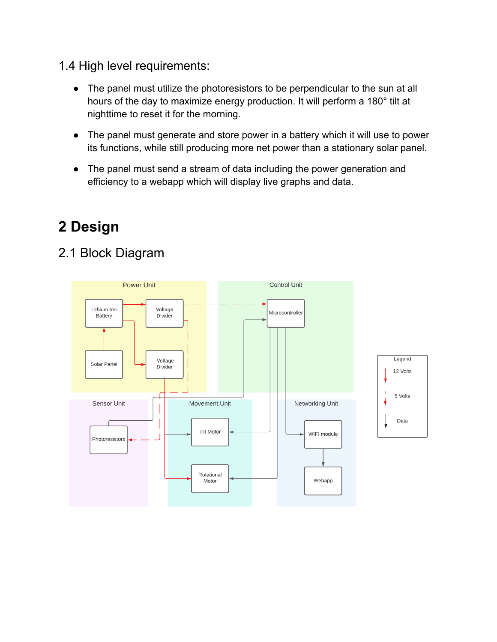#### 1.4 High level requirements:

- The panel must utilize the photoresistors to be perpendicular to the sun at all hours of the day to maximize energy production. It will perform a 180° tilt at nighttime to reset it for the morning.
- The panel must generate and store power in a battery which it will use to power its functions, while still producing more net power than a stationary solar panel.
- The panel must send a stream of data including the power generation and efficiency to a webapp which will display live graphs and data.

# **2 Design**

### 2.1 Block Diagram

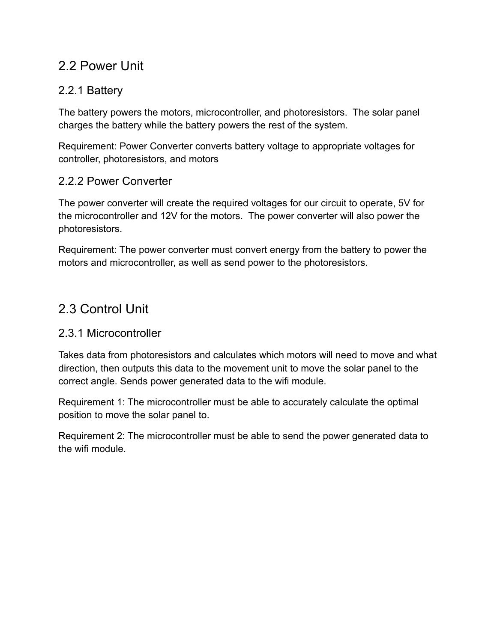### 2.2 Power Unit

#### 2.2.1 Battery

The battery powers the motors, microcontroller, and photoresistors. The solar panel charges the battery while the battery powers the rest of the system.

Requirement: Power Converter converts battery voltage to appropriate voltages for controller, photoresistors, and motors

#### 2.2.2 Power Converter

The power converter will create the required voltages for our circuit to operate, 5V for the microcontroller and 12V for the motors. The power converter will also power the photoresistors.

Requirement: The power converter must convert energy from the battery to power the motors and microcontroller, as well as send power to the photoresistors.

### 2.3 Control Unit

#### 2.3.1 Microcontroller

Takes data from photoresistors and calculates which motors will need to move and what direction, then outputs this data to the movement unit to move the solar panel to the correct angle. Sends power generated data to the wifi module.

Requirement 1: The microcontroller must be able to accurately calculate the optimal position to move the solar panel to.

Requirement 2: The microcontroller must be able to send the power generated data to the wifi module.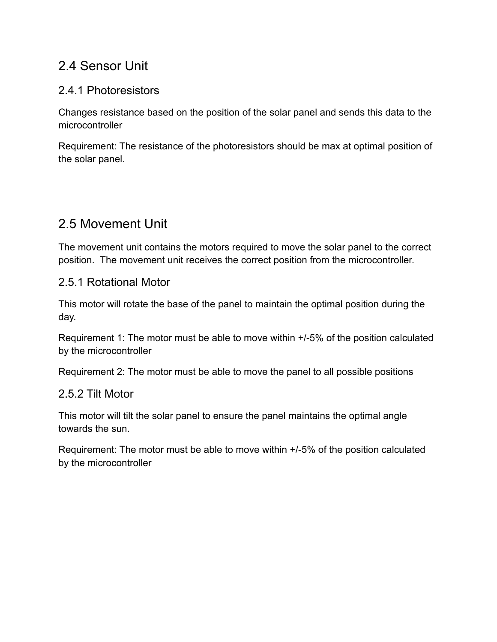### 2.4 Sensor Unit

#### 2.4.1 Photoresistors

Changes resistance based on the position of the solar panel and sends this data to the microcontroller

Requirement: The resistance of the photoresistors should be max at optimal position of the solar panel.

### 2.5 Movement Unit

The movement unit contains the motors required to move the solar panel to the correct position. The movement unit receives the correct position from the microcontroller.

#### 2.5.1 Rotational Motor

This motor will rotate the base of the panel to maintain the optimal position during the day.

Requirement 1: The motor must be able to move within +/-5% of the position calculated by the microcontroller

Requirement 2: The motor must be able to move the panel to all possible positions

#### 2.5.2 Tilt Motor

This motor will tilt the solar panel to ensure the panel maintains the optimal angle towards the sun.

Requirement: The motor must be able to move within +/-5% of the position calculated by the microcontroller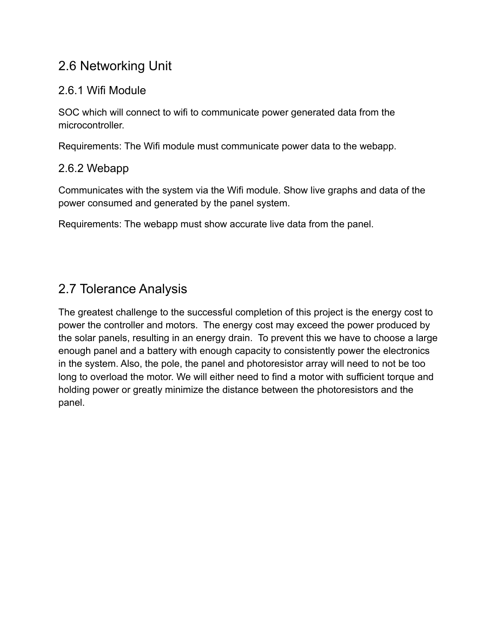### 2.6 Networking Unit

#### 2.6.1 Wifi Module

SOC which will connect to wifi to communicate power generated data from the microcontroller.

Requirements: The Wifi module must communicate power data to the webapp.

#### 2.6.2 Webapp

Communicates with the system via the Wifi module. Show live graphs and data of the power consumed and generated by the panel system.

Requirements: The webapp must show accurate live data from the panel.

### 2.7 Tolerance Analysis

The greatest challenge to the successful completion of this project is the energy cost to power the controller and motors. The energy cost may exceed the power produced by the solar panels, resulting in an energy drain. To prevent this we have to choose a large enough panel and a battery with enough capacity to consistently power the electronics in the system. Also, the pole, the panel and photoresistor array will need to not be too long to overload the motor. We will either need to find a motor with sufficient torque and holding power or greatly minimize the distance between the photoresistors and the panel.